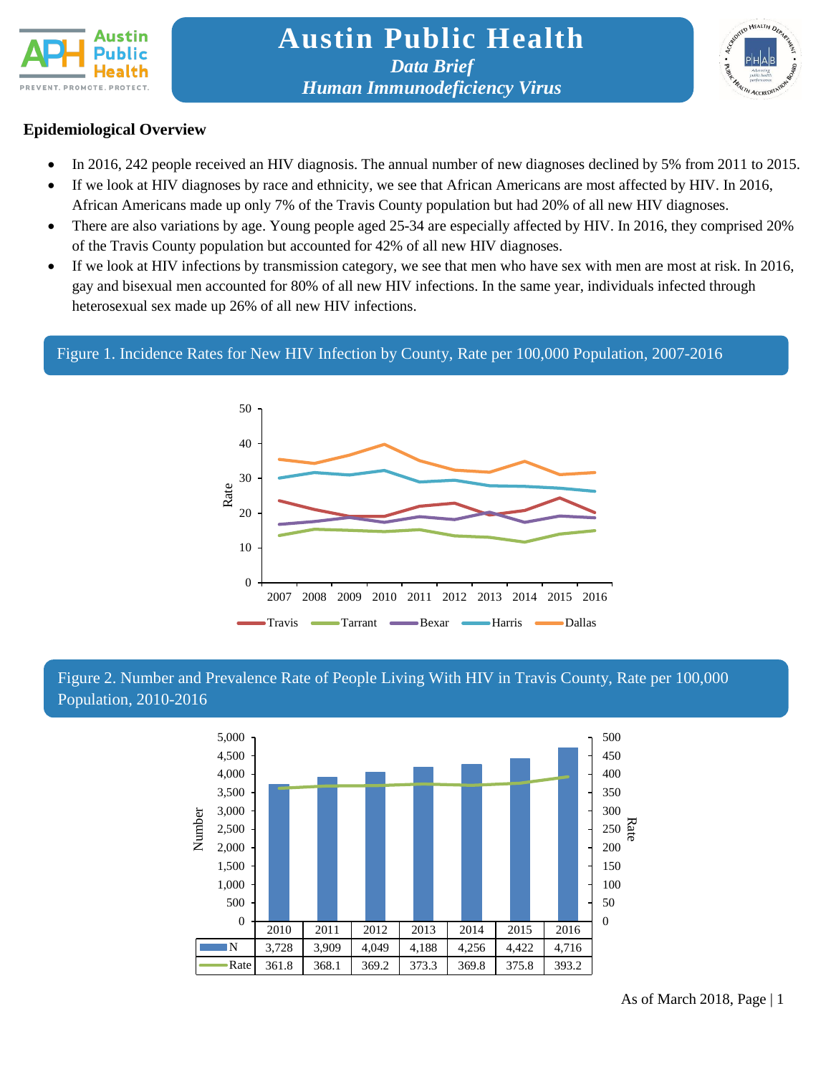



## **Epidemiological Overview**

- In 2016, 242 people received an HIV diagnosis. The annual number of new diagnoses declined by 5% from 2011 to 2015.
- If we look at HIV diagnoses by race and ethnicity, we see that African Americans are most affected by HIV. In 2016, African Americans made up only 7% of the Travis County population but had 20% of all new HIV diagnoses.
- There are also variations by age. Young people aged 25-34 are especially affected by HIV. In 2016, they comprised 20% of the Travis County population but accounted for 42% of all new HIV diagnoses.
- If we look at HIV infections by transmission category, we see that men who have sex with men are most at risk. In 2016, gay and bisexual men accounted for 80% of all new HIV infections. In the same year, individuals infected through heterosexual sex made up 26% of all new HIV infections.

## Figure 1. Incidence Rates for New HIV Infection by County, Rate per 100,000 Population, 2007-2016



## Figure 2. Number and Prevalence Rate of People Living With HIV in Travis County, Rate per 100,000 Population, 2010-2016